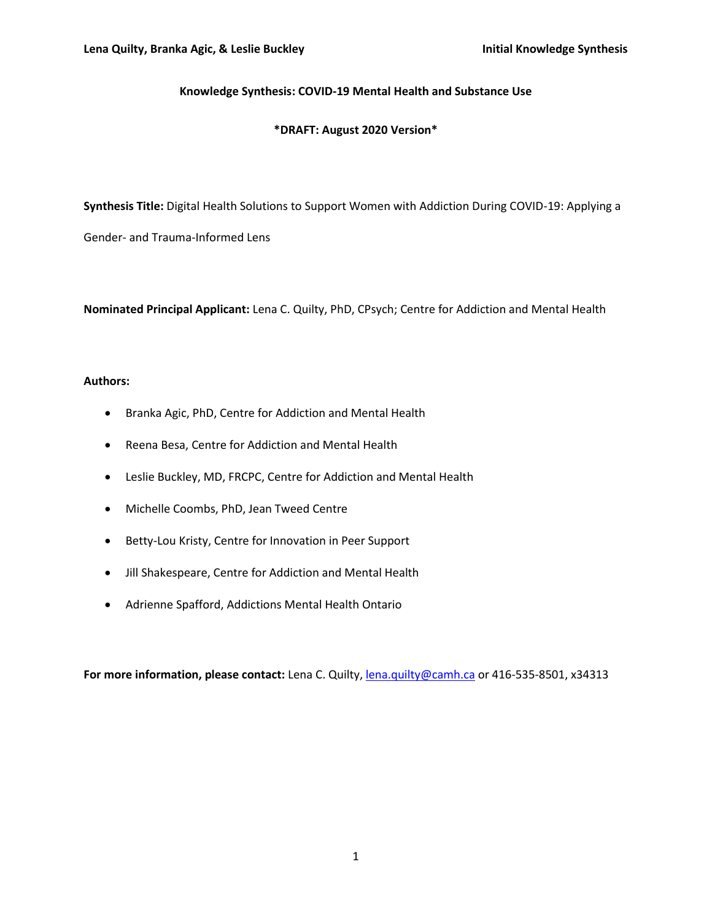#### **Knowledge Synthesis: COVID-19 Mental Health and Substance Use**

#### **\*DRAFT: August 2020 Version\***

**Synthesis Title:** Digital Health Solutions to Support Women with Addiction During COVID-19: Applying a

Gender- and Trauma-Informed Lens

**Nominated Principal Applicant:** Lena C. Quilty, PhD, CPsych; Centre for Addiction and Mental Health

#### **Authors:**

- Branka Agic, PhD, Centre for Addiction and Mental Health
- Reena Besa, Centre for Addiction and Mental Health
- Leslie Buckley, MD, FRCPC, Centre for Addiction and Mental Health
- Michelle Coombs, PhD, Jean Tweed Centre
- Betty-Lou Kristy, Centre for Innovation in Peer Support
- Jill Shakespeare, Centre for Addiction and Mental Health
- Adrienne Spafford, Addictions Mental Health Ontario

**For more information, please contact:** Lena C. Quilty[, lena.quilty@camh.ca](mailto:lena.quilty@camh.ca) or 416-535-8501, x34313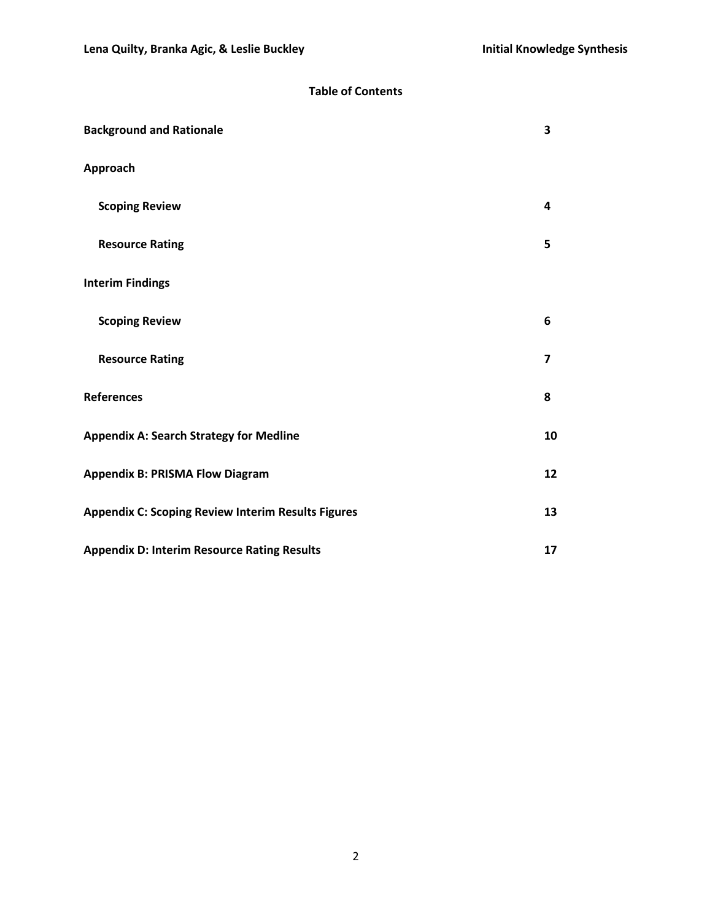## **Table of Contents**

| <b>Background and Rationale</b>                           | 3  |
|-----------------------------------------------------------|----|
| Approach                                                  |    |
| <b>Scoping Review</b>                                     | 4  |
| <b>Resource Rating</b>                                    | 5  |
| <b>Interim Findings</b>                                   |    |
| <b>Scoping Review</b>                                     | 6  |
| <b>Resource Rating</b>                                    | 7  |
| <b>References</b>                                         | 8  |
| <b>Appendix A: Search Strategy for Medline</b>            | 10 |
| <b>Appendix B: PRISMA Flow Diagram</b>                    | 12 |
| <b>Appendix C: Scoping Review Interim Results Figures</b> | 13 |
| <b>Appendix D: Interim Resource Rating Results</b>        | 17 |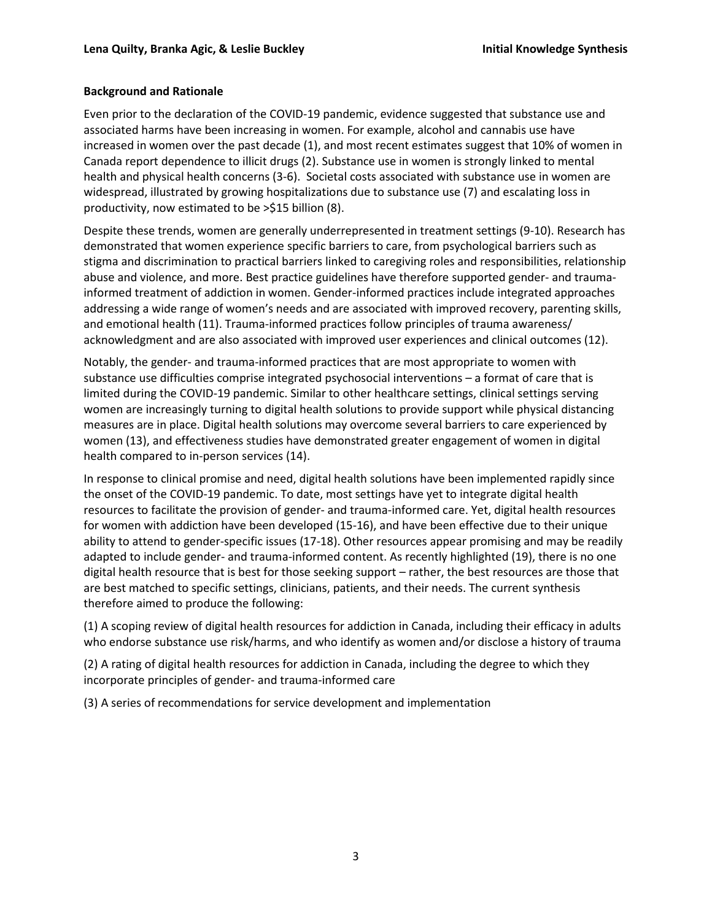#### **Background and Rationale**

Even prior to the declaration of the COVID-19 pandemic, evidence suggested that substance use and associated harms have been increasing in women. For example, alcohol and cannabis use have increased in women over the past decade (1), and most recent estimates suggest that 10% of women in Canada report dependence to illicit drugs (2). Substance use in women is strongly linked to mental health and physical health concerns (3-6). Societal costs associated with substance use in women are widespread, illustrated by growing hospitalizations due to substance use (7) and escalating loss in productivity, now estimated to be >\$15 billion (8).

Despite these trends, women are generally underrepresented in treatment settings (9-10). Research has demonstrated that women experience specific barriers to care, from psychological barriers such as stigma and discrimination to practical barriers linked to caregiving roles and responsibilities, relationship abuse and violence, and more. Best practice guidelines have therefore supported gender- and traumainformed treatment of addiction in women. Gender-informed practices include integrated approaches addressing a wide range of women's needs and are associated with improved recovery, parenting skills, and emotional health (11). Trauma-informed practices follow principles of trauma awareness/ acknowledgment and are also associated with improved user experiences and clinical outcomes (12).

Notably, the gender- and trauma-informed practices that are most appropriate to women with substance use difficulties comprise integrated psychosocial interventions – a format of care that is limited during the COVID-19 pandemic. Similar to other healthcare settings, clinical settings serving women are increasingly turning to digital health solutions to provide support while physical distancing measures are in place. Digital health solutions may overcome several barriers to care experienced by women (13), and effectiveness studies have demonstrated greater engagement of women in digital health compared to in-person services (14).

In response to clinical promise and need, digital health solutions have been implemented rapidly since the onset of the COVID-19 pandemic. To date, most settings have yet to integrate digital health resources to facilitate the provision of gender- and trauma-informed care. Yet, digital health resources for women with addiction have been developed (15-16), and have been effective due to their unique ability to attend to gender-specific issues (17-18). Other resources appear promising and may be readily adapted to include gender- and trauma-informed content. As recently highlighted (19), there is no one digital health resource that is best for those seeking support – rather, the best resources are those that are best matched to specific settings, clinicians, patients, and their needs. The current synthesis therefore aimed to produce the following:

(1) A scoping review of digital health resources for addiction in Canada, including their efficacy in adults who endorse substance use risk/harms, and who identify as women and/or disclose a history of trauma

(2) A rating of digital health resources for addiction in Canada, including the degree to which they incorporate principles of gender- and trauma-informed care

(3) A series of recommendations for service development and implementation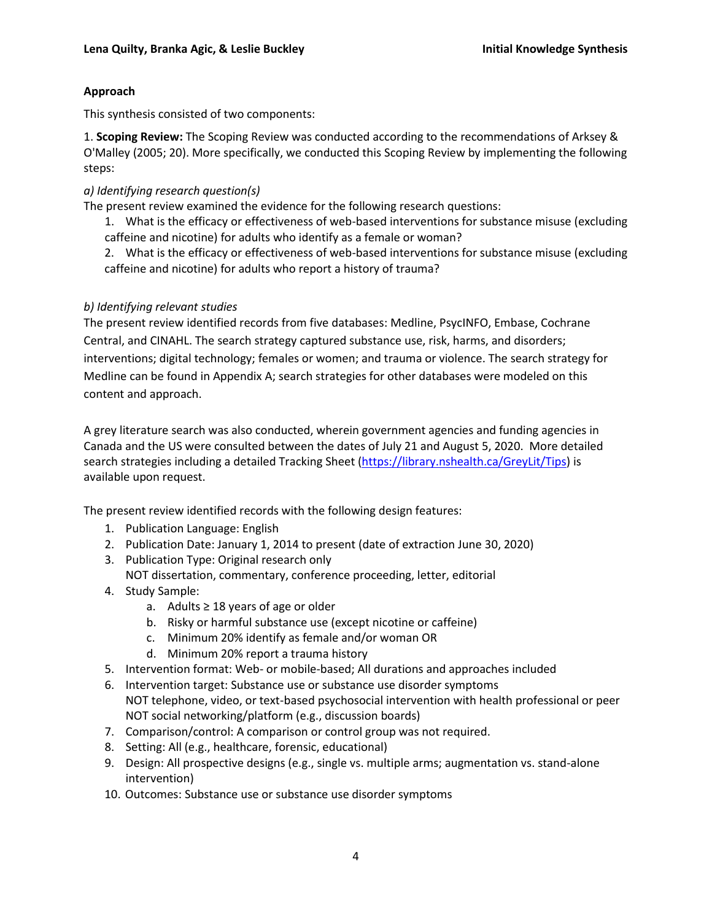## **Approach**

This synthesis consisted of two components:

1. **Scoping Review:** The Scoping Review was conducted according to the recommendations of Arksey & O'Malley (2005; 20). More specifically, we conducted this Scoping Review by implementing the following steps:

## *a) Identifying research question(s)*

The present review examined the evidence for the following research questions:

1. What is the efficacy or effectiveness of web-based interventions for substance misuse (excluding caffeine and nicotine) for adults who identify as a female or woman?

2. What is the efficacy or effectiveness of web-based interventions for substance misuse (excluding caffeine and nicotine) for adults who report a history of trauma?

## *b) Identifying relevant studies*

The present review identified records from five databases: Medline, PsycINFO, Embase, Cochrane Central, and CINAHL. The search strategy captured substance use, risk, harms, and disorders; interventions; digital technology; females or women; and trauma or violence. The search strategy for Medline can be found in Appendix A; search strategies for other databases were modeled on this content and approach.

A grey literature search was also conducted, wherein government agencies and funding agencies in Canada and the US were consulted between the dates of July 21 and August 5, 2020. More detailed search strategies including a detailed Tracking Sheet [\(https://library.nshealth.ca/GreyLit/Tips\)](https://library.nshealth.ca/GreyLit/Tips) is available upon request.

The present review identified records with the following design features:

- 1. Publication Language: English
- 2. Publication Date: January 1, 2014 to present (date of extraction June 30, 2020)
- 3. Publication Type: Original research only
	- NOT dissertation, commentary, conference proceeding, letter, editorial
- 4. Study Sample:
	- a. Adults ≥ 18 years of age or older
	- b. Risky or harmful substance use (except nicotine or caffeine)
	- c. Minimum 20% identify as female and/or woman OR
	- d. Minimum 20% report a trauma history
- 5. Intervention format: Web- or mobile-based; All durations and approaches included
- 6. Intervention target: Substance use or substance use disorder symptoms NOT telephone, video, or text-based psychosocial intervention with health professional or peer NOT social networking/platform (e.g., discussion boards)
- 7. Comparison/control: A comparison or control group was not required.
- 8. Setting: All (e.g., healthcare, forensic, educational)
- 9. Design: All prospective designs (e.g., single vs. multiple arms; augmentation vs. stand-alone intervention)
- 10. Outcomes: Substance use or substance use disorder symptoms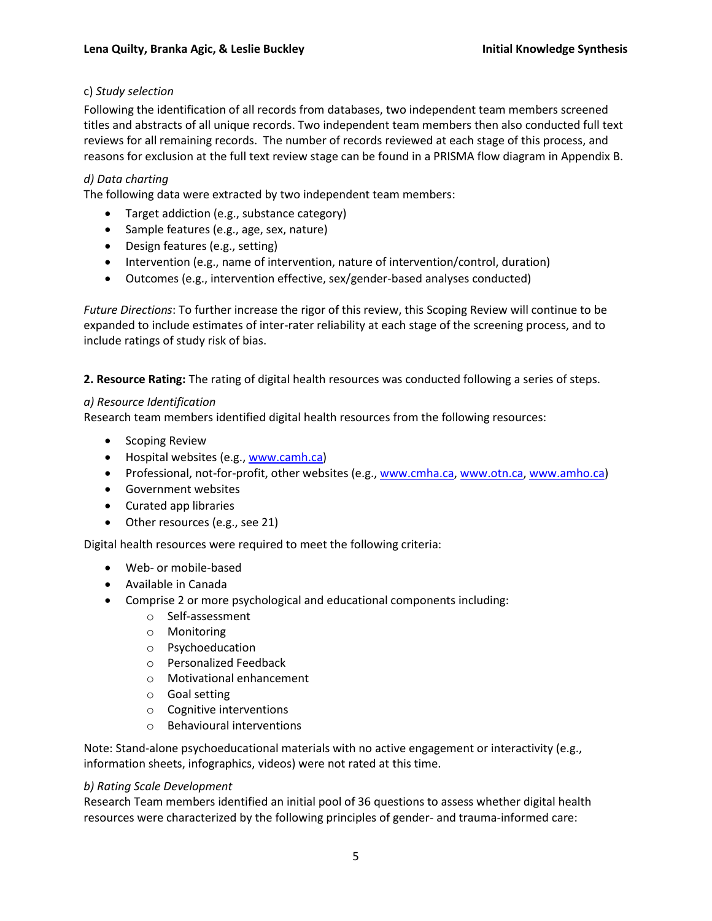## c) *Study selection*

Following the identification of all records from databases, two independent team members screened titles and abstracts of all unique records. Two independent team members then also conducted full text reviews for all remaining records. The number of records reviewed at each stage of this process, and reasons for exclusion at the full text review stage can be found in a PRISMA flow diagram in Appendix B.

## *d) Data charting*

The following data were extracted by two independent team members:

- Target addiction (e.g., substance category)
- Sample features (e.g., age, sex, nature)
- Design features (e.g., setting)
- Intervention (e.g., name of intervention, nature of intervention/control, duration)
- Outcomes (e.g., intervention effective, sex/gender-based analyses conducted)

*Future Directions*: To further increase the rigor of this review, this Scoping Review will continue to be expanded to include estimates of inter-rater reliability at each stage of the screening process, and to include ratings of study risk of bias.

**2. Resource Rating:** The rating of digital health resources was conducted following a series of steps.

## *a) Resource Identification*

Research team members identified digital health resources from the following resources:

- Scoping Review
- Hospital websites (e.g., [www.camh.ca\)](http://www.camh.ca/)
- Professional, not-for-profit, other websites (e.g., [www.cmha.ca,](http://www.cmha.ca/) [www.otn.ca,](http://www.otn.ca/) [www.amho.ca\)](http://www.amho.ca/)
- Government websites
- Curated app libraries
- Other resources (e.g., see 21)

Digital health resources were required to meet the following criteria:

- Web- or mobile-based
- Available in Canada
- Comprise 2 or more psychological and educational components including:
	- o Self-assessment
	- o Monitoring
	- o Psychoeducation
	- o Personalized Feedback
	- o Motivational enhancement
	- o Goal setting
	- o Cognitive interventions
	- o Behavioural interventions

Note: Stand-alone psychoeducational materials with no active engagement or interactivity (e.g., information sheets, infographics, videos) were not rated at this time.

#### *b) Rating Scale Development*

Research Team members identified an initial pool of 36 questions to assess whether digital health resources were characterized by the following principles of gender- and trauma-informed care: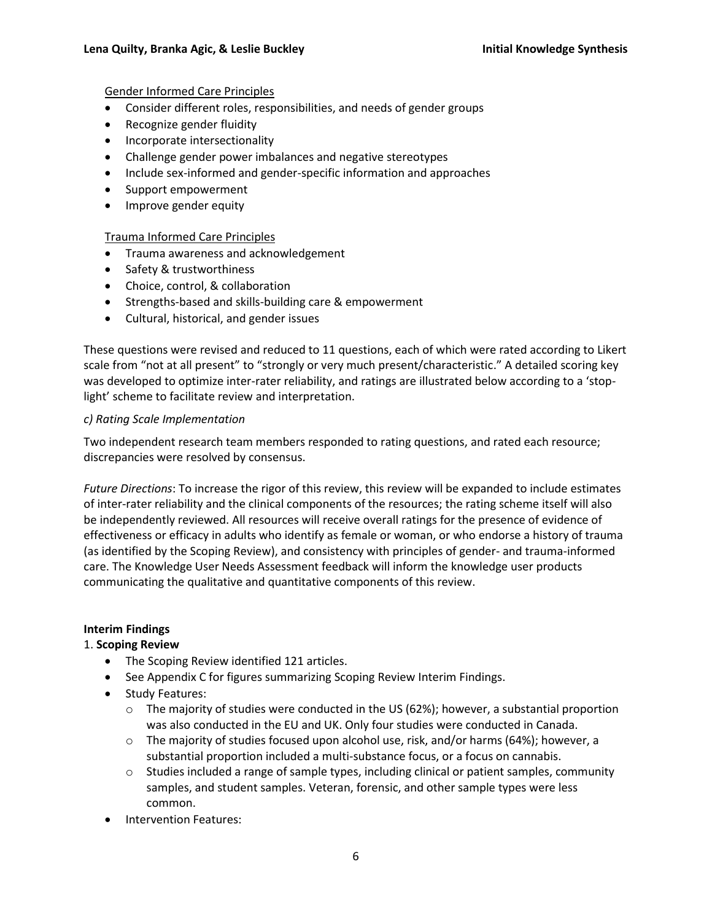#### Gender Informed Care Principles

- Consider different roles, responsibilities, and needs of gender groups
- Recognize gender fluidity
- Incorporate intersectionality
- Challenge gender power imbalances and negative stereotypes
- Include sex-informed and gender-specific information and approaches
- Support empowerment
- Improve gender equity

#### Trauma Informed Care Principles

- Trauma awareness and acknowledgement
- Safety & trustworthiness
- Choice, control, & collaboration
- Strengths-based and skills-building care & empowerment
- Cultural, historical, and gender issues

These questions were revised and reduced to 11 questions, each of which were rated according to Likert scale from "not at all present" to "strongly or very much present/characteristic." A detailed scoring key was developed to optimize inter-rater reliability, and ratings are illustrated below according to a 'stoplight' scheme to facilitate review and interpretation.

#### *c) Rating Scale Implementation*

Two independent research team members responded to rating questions, and rated each resource; discrepancies were resolved by consensus.

*Future Directions*: To increase the rigor of this review, this review will be expanded to include estimates of inter-rater reliability and the clinical components of the resources; the rating scheme itself will also be independently reviewed. All resources will receive overall ratings for the presence of evidence of effectiveness or efficacy in adults who identify as female or woman, or who endorse a history of trauma (as identified by the Scoping Review), and consistency with principles of gender- and trauma-informed care. The Knowledge User Needs Assessment feedback will inform the knowledge user products communicating the qualitative and quantitative components of this review.

#### **Interim Findings**

#### 1. **Scoping Review**

- The Scoping Review identified 121 articles.
- See Appendix C for figures summarizing Scoping Review Interim Findings.
- Study Features:
	- $\circ$  The majority of studies were conducted in the US (62%); however, a substantial proportion was also conducted in the EU and UK. Only four studies were conducted in Canada.
	- o The majority of studies focused upon alcohol use, risk, and/or harms (64%); however, a substantial proportion included a multi-substance focus, or a focus on cannabis.
	- $\circ$  Studies included a range of sample types, including clinical or patient samples, community samples, and student samples. Veteran, forensic, and other sample types were less common.
- Intervention Features: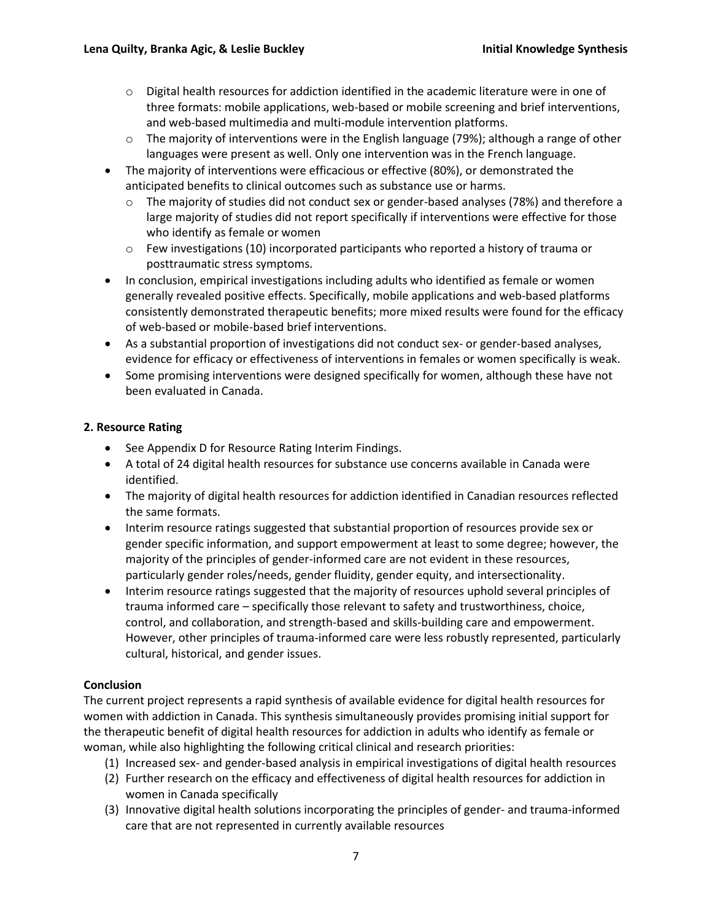- $\circ$  Digital health resources for addiction identified in the academic literature were in one of three formats: mobile applications, web-based or mobile screening and brief interventions, and web-based multimedia and multi-module intervention platforms.
- $\circ$  The majority of interventions were in the English language (79%); although a range of other languages were present as well. Only one intervention was in the French language.
- The majority of interventions were efficacious or effective (80%), or demonstrated the anticipated benefits to clinical outcomes such as substance use or harms.
	- $\circ$  The majority of studies did not conduct sex or gender-based analyses (78%) and therefore a large majority of studies did not report specifically if interventions were effective for those who identify as female or women
	- $\circ$  Few investigations (10) incorporated participants who reported a history of trauma or posttraumatic stress symptoms.
- In conclusion, empirical investigations including adults who identified as female or women generally revealed positive effects. Specifically, mobile applications and web-based platforms consistently demonstrated therapeutic benefits; more mixed results were found for the efficacy of web-based or mobile-based brief interventions.
- As a substantial proportion of investigations did not conduct sex- or gender-based analyses, evidence for efficacy or effectiveness of interventions in females or women specifically is weak.
- Some promising interventions were designed specifically for women, although these have not been evaluated in Canada.

## **2. Resource Rating**

- See Appendix D for Resource Rating Interim Findings.
- A total of 24 digital health resources for substance use concerns available in Canada were identified.
- The majority of digital health resources for addiction identified in Canadian resources reflected the same formats.
- Interim resource ratings suggested that substantial proportion of resources provide sex or gender specific information, and support empowerment at least to some degree; however, the majority of the principles of gender-informed care are not evident in these resources, particularly gender roles/needs, gender fluidity, gender equity, and intersectionality.
- Interim resource ratings suggested that the majority of resources uphold several principles of trauma informed care – specifically those relevant to safety and trustworthiness, choice, control, and collaboration, and strength-based and skills-building care and empowerment. However, other principles of trauma-informed care were less robustly represented, particularly cultural, historical, and gender issues.

## **Conclusion**

The current project represents a rapid synthesis of available evidence for digital health resources for women with addiction in Canada. This synthesis simultaneously provides promising initial support for the therapeutic benefit of digital health resources for addiction in adults who identify as female or woman, while also highlighting the following critical clinical and research priorities:

- (1) Increased sex- and gender-based analysis in empirical investigations of digital health resources
- (2) Further research on the efficacy and effectiveness of digital health resources for addiction in women in Canada specifically
- (3) Innovative digital health solutions incorporating the principles of gender- and trauma-informed care that are not represented in currently available resources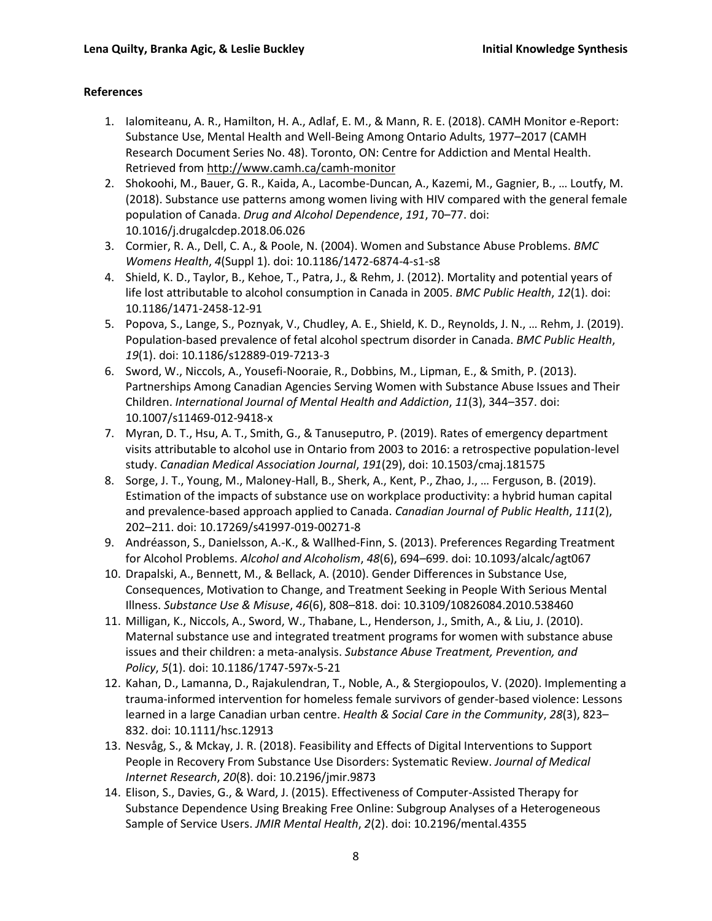#### **References**

- 1. Ialomiteanu, A. R., Hamilton, H. A., Adlaf, E. M., & Mann, R. E. (2018). CAMH Monitor e-Report: Substance Use, Mental Health and Well-Being Among Ontario Adults, 1977–2017 (CAMH Research Document Series No. 48). Toronto, ON: Centre for Addiction and Mental Health. Retrieved from http://www.camh.ca/camh-monitor
- 2. Shokoohi, M., Bauer, G. R., Kaida, A., Lacombe-Duncan, A., Kazemi, M., Gagnier, B., … Loutfy, M. (2018). Substance use patterns among women living with HIV compared with the general female population of Canada. *Drug and Alcohol Dependence*, *191*, 70–77. doi: 10.1016/j.drugalcdep.2018.06.026
- 3. Cormier, R. A., Dell, C. A., & Poole, N. (2004). Women and Substance Abuse Problems. *BMC Womens Health*, *4*(Suppl 1). doi: 10.1186/1472-6874-4-s1-s8
- 4. Shield, K. D., Taylor, B., Kehoe, T., Patra, J., & Rehm, J. (2012). Mortality and potential years of life lost attributable to alcohol consumption in Canada in 2005. *BMC Public Health*, *12*(1). doi: 10.1186/1471-2458-12-91
- 5. Popova, S., Lange, S., Poznyak, V., Chudley, A. E., Shield, K. D., Reynolds, J. N., … Rehm, J. (2019). Population-based prevalence of fetal alcohol spectrum disorder in Canada. *BMC Public Health*, *19*(1). doi: 10.1186/s12889-019-7213-3
- 6. Sword, W., Niccols, A., Yousefi-Nooraie, R., Dobbins, M., Lipman, E., & Smith, P. (2013). Partnerships Among Canadian Agencies Serving Women with Substance Abuse Issues and Their Children. *International Journal of Mental Health and Addiction*, *11*(3), 344–357. doi: 10.1007/s11469-012-9418-x
- 7. Myran, D. T., Hsu, A. T., Smith, G., & Tanuseputro, P. (2019). Rates of emergency department visits attributable to alcohol use in Ontario from 2003 to 2016: a retrospective population-level study. *Canadian Medical Association Journal*, *191*(29), doi: 10.1503/cmaj.181575
- 8. Sorge, J. T., Young, M., Maloney-Hall, B., Sherk, A., Kent, P., Zhao, J., … Ferguson, B. (2019). Estimation of the impacts of substance use on workplace productivity: a hybrid human capital and prevalence-based approach applied to Canada. *Canadian Journal of Public Health*, *111*(2), 202–211. doi: 10.17269/s41997-019-00271-8
- 9. Andréasson, S., Danielsson, A.-K., & Wallhed-Finn, S. (2013). Preferences Regarding Treatment for Alcohol Problems. *Alcohol and Alcoholism*, *48*(6), 694–699. doi: 10.1093/alcalc/agt067
- 10. Drapalski, A., Bennett, M., & Bellack, A. (2010). Gender Differences in Substance Use, Consequences, Motivation to Change, and Treatment Seeking in People With Serious Mental Illness. *Substance Use & Misuse*, *46*(6), 808–818. doi: 10.3109/10826084.2010.538460
- 11. Milligan, K., Niccols, A., Sword, W., Thabane, L., Henderson, J., Smith, A., & Liu, J. (2010). Maternal substance use and integrated treatment programs for women with substance abuse issues and their children: a meta-analysis. *Substance Abuse Treatment, Prevention, and Policy*, *5*(1). doi: 10.1186/1747-597x-5-21
- 12. Kahan, D., Lamanna, D., Rajakulendran, T., Noble, A., & Stergiopoulos, V. (2020). Implementing a trauma‐informed intervention for homeless female survivors of gender‐based violence: Lessons learned in a large Canadian urban centre. *Health & Social Care in the Community*, *28*(3), 823– 832. doi: 10.1111/hsc.12913
- 13. Nesvåg, S., & Mckay, J. R. (2018). Feasibility and Effects of Digital Interventions to Support People in Recovery From Substance Use Disorders: Systematic Review. *Journal of Medical Internet Research*, *20*(8). doi: 10.2196/jmir.9873
- 14. Elison, S., Davies, G., & Ward, J. (2015). Effectiveness of Computer-Assisted Therapy for Substance Dependence Using Breaking Free Online: Subgroup Analyses of a Heterogeneous Sample of Service Users. *JMIR Mental Health*, *2*(2). doi: 10.2196/mental.4355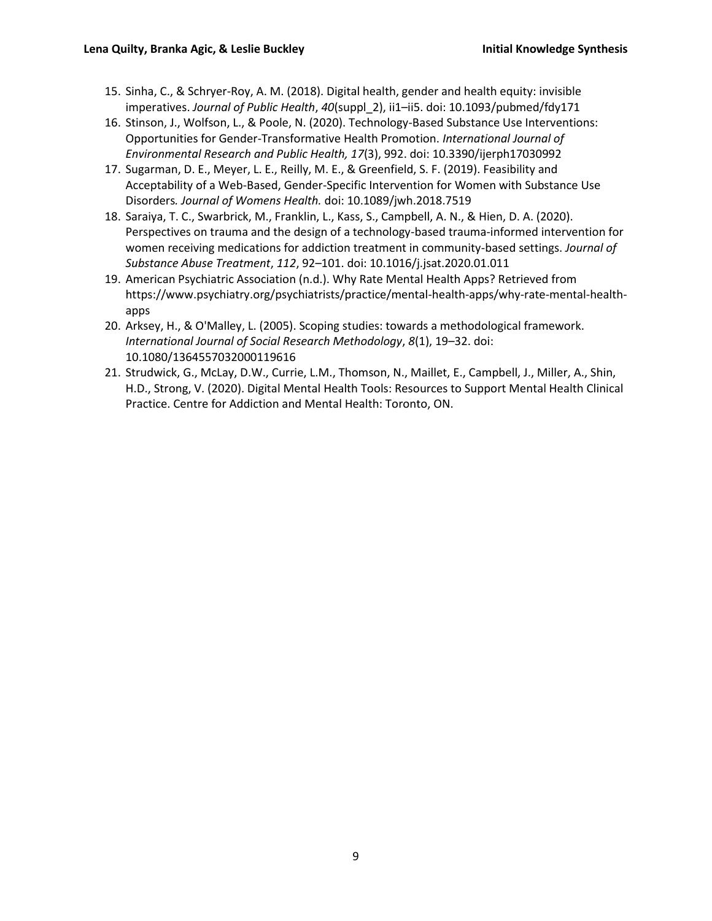- 15. Sinha, C., & Schryer-Roy, A. M. (2018). Digital health, gender and health equity: invisible imperatives. *Journal of Public Health*, *40*(suppl\_2), ii1–ii5. doi: 10.1093/pubmed/fdy171
- 16. Stinson, J., Wolfson, L., & Poole, N. (2020). Technology-Based Substance Use Interventions: Opportunities for Gender-Transformative Health Promotion. *International Journal of Environmental Research and Public Health, 17*(3), 992. doi: 10.3390/ijerph17030992
- 17. Sugarman, D. E., Meyer, L. E., Reilly, M. E., & Greenfield, S. F. (2019). Feasibility and Acceptability of a Web-Based, Gender-Specific Intervention for Women with Substance Use Disorders*. Journal of Womens Health.* doi: 10.1089/jwh.2018.7519
- 18. Saraiya, T. C., Swarbrick, M., Franklin, L., Kass, S., Campbell, A. N., & Hien, D. A. (2020). Perspectives on trauma and the design of a technology-based trauma-informed intervention for women receiving medications for addiction treatment in community-based settings. *Journal of Substance Abuse Treatment*, *112*, 92–101. doi: 10.1016/j.jsat.2020.01.011
- 19. American Psychiatric Association (n.d.). Why Rate Mental Health Apps? Retrieved from https://www.psychiatry.org/psychiatrists/practice/mental-health-apps/why-rate-mental-healthapps
- 20. Arksey, H., & O'Malley, L. (2005). Scoping studies: towards a methodological framework. *International Journal of Social Research Methodology*, *8*(1), 19–32. doi: 10.1080/1364557032000119616
- 21. Strudwick, G., McLay, D.W., Currie, L.M., Thomson, N., Maillet, E., Campbell, J., Miller, A., Shin, H.D., Strong, V. (2020). Digital Mental Health Tools: Resources to Support Mental Health Clinical Practice. Centre for Addiction and Mental Health: Toronto, ON.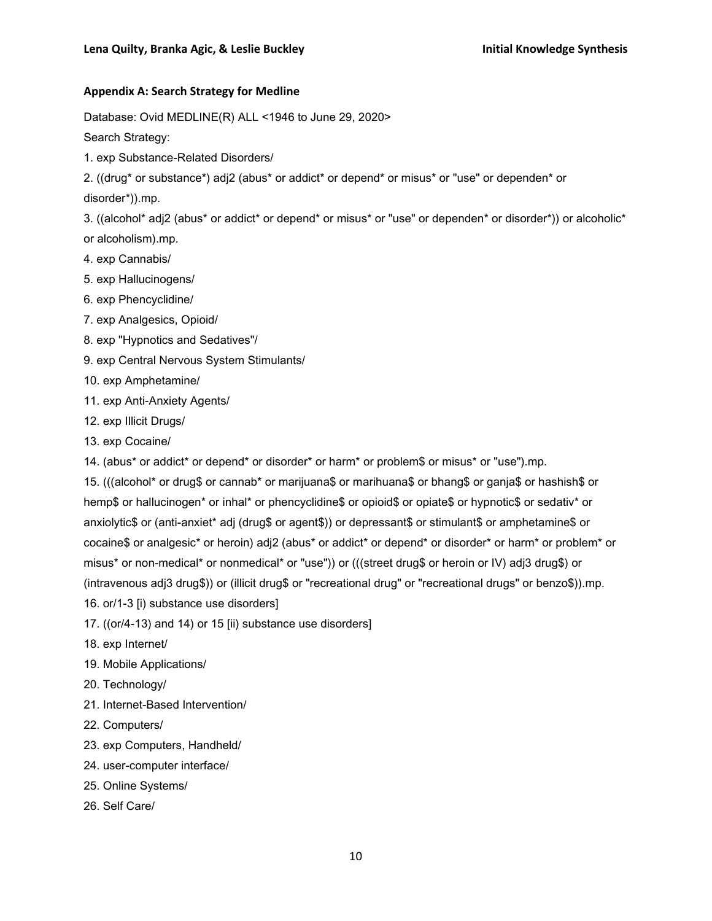#### **Appendix A: Search Strategy for Medline**

Database: Ovid MEDLINE(R) ALL <1946 to June 29, 2020>

Search Strategy:

1. exp Substance-Related Disorders/

2. ((drug\* or substance\*) adj2 (abus\* or addict\* or depend\* or misus\* or "use" or dependen\* or

disorder\*)).mp.

3. ((alcohol\* adj2 (abus\* or addict\* or depend\* or misus\* or "use" or dependen\* or disorder\*)) or alcoholic\* or alcoholism).mp.

- 4. exp Cannabis/
- 5. exp Hallucinogens/
- 6. exp Phencyclidine/
- 7. exp Analgesics, Opioid/
- 8. exp "Hypnotics and Sedatives"/
- 9. exp Central Nervous System Stimulants/
- 10. exp Amphetamine/
- 11. exp Anti-Anxiety Agents/
- 12. exp Illicit Drugs/
- 13. exp Cocaine/
- 14. (abus\* or addict\* or depend\* or disorder\* or harm\* or problem\$ or misus\* or "use").mp.

15. (((alcohol\* or drug\$ or cannab\* or marijuana\$ or marihuana\$ or bhang\$ or ganja\$ or hashish\$ or hemp\$ or hallucinogen\* or inhal\* or phencyclidine\$ or opioid\$ or opiate\$ or hypnotic\$ or sedativ\* or anxiolytic\$ or (anti-anxiet\* adj (drug\$ or agent\$)) or depressant\$ or stimulant\$ or amphetamine\$ or cocaine\$ or analgesic\* or heroin) adj2 (abus\* or addict\* or depend\* or disorder\* or harm\* or problem\* or misus\* or non-medical\* or nonmedical\* or "use")) or (((street drug\$ or heroin or IV) adj3 drug\$) or (intravenous adj3 drug\$)) or (illicit drug\$ or "recreational drug" or "recreational drugs" or benzo\$)).mp. 16. or/1-3 [i) substance use disorders]

- 17. ((or/4-13) and 14) or 15 [ii) substance use disorders]
- 18. exp Internet/
- 19. Mobile Applications/
- 20. Technology/
- 21. Internet-Based Intervention/
- 22. Computers/
- 23. exp Computers, Handheld/
- 24. user-computer interface/
- 25. Online Systems/
- 26. Self Care/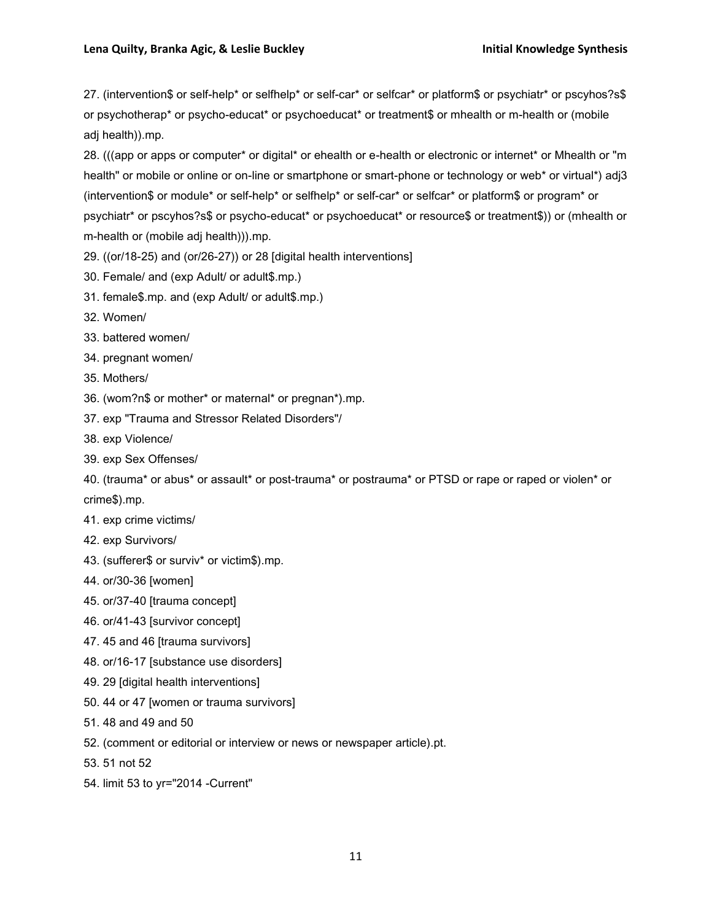27. (intervention\$ or self-help\* or selfhelp\* or self-car\* or selfcar\* or platform\$ or psychiatr\* or pscyhos?s\$ or psychotherap\* or psycho-educat\* or psychoeducat\* or treatment\$ or mhealth or m-health or (mobile adj health)).mp.

28. (((app or apps or computer\* or digital\* or ehealth or e-health or electronic or internet\* or Mhealth or "m health" or mobile or online or on-line or smartphone or smart-phone or technology or web\* or virtual\*) adj3 (intervention\$ or module\* or self-help\* or selfhelp\* or self-car\* or selfcar\* or platform\$ or program\* or psychiatr\* or pscyhos?s\$ or psycho-educat\* or psychoeducat\* or resource\$ or treatment\$)) or (mhealth or m-health or (mobile adj health))).mp.

- 29. ((or/18-25) and (or/26-27)) or 28 [digital health interventions]
- 30. Female/ and (exp Adult/ or adult\$.mp.)
- 31. female\$.mp. and (exp Adult/ or adult\$.mp.)
- 32. Women/
- 33. battered women/
- 34. pregnant women/
- 35. Mothers/
- 36. (wom?n\$ or mother\* or maternal\* or pregnan\*).mp.
- 37. exp "Trauma and Stressor Related Disorders"/
- 38. exp Violence/
- 39. exp Sex Offenses/

40. (trauma\* or abus\* or assault\* or post-trauma\* or postrauma\* or PTSD or rape or raped or violen\* or crime\$).mp.

- 41. exp crime victims/
- 42. exp Survivors/
- 43. (sufferer\$ or surviv\* or victim\$).mp.
- 44. or/30-36 [women]
- 45. or/37-40 [trauma concept]
- 46. or/41-43 [survivor concept]
- 47. 45 and 46 [trauma survivors]
- 48. or/16-17 [substance use disorders]
- 49. 29 [digital health interventions]
- 50. 44 or 47 [women or trauma survivors]
- 51. 48 and 49 and 50
- 52. (comment or editorial or interview or news or newspaper article).pt.
- 53. 51 not 52
- 54. limit 53 to yr="2014 -Current"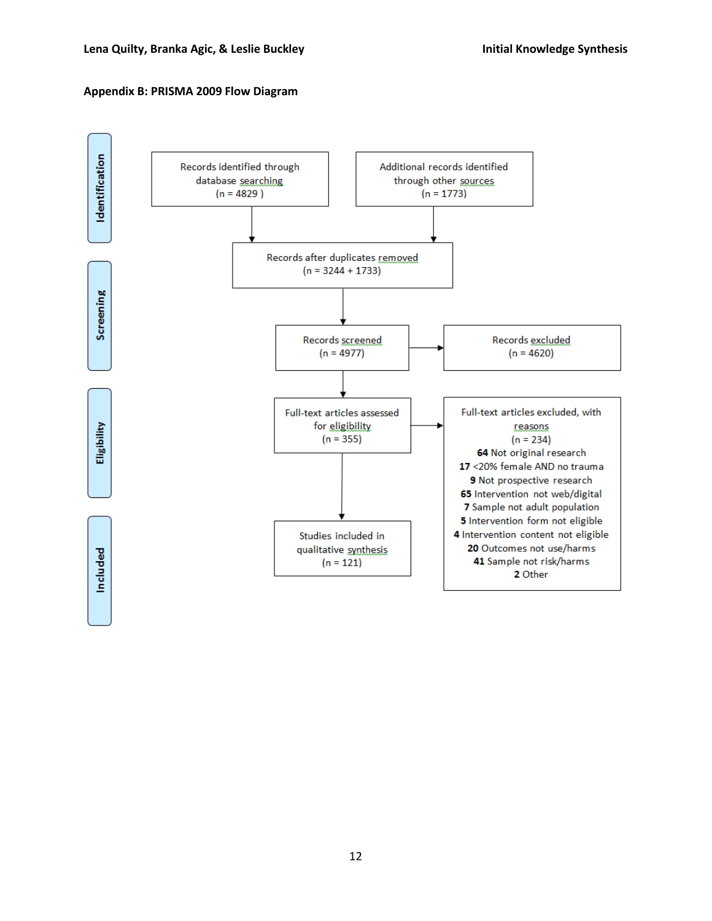#### **Appendix B: PRISMA 2009 Flow Diagram**

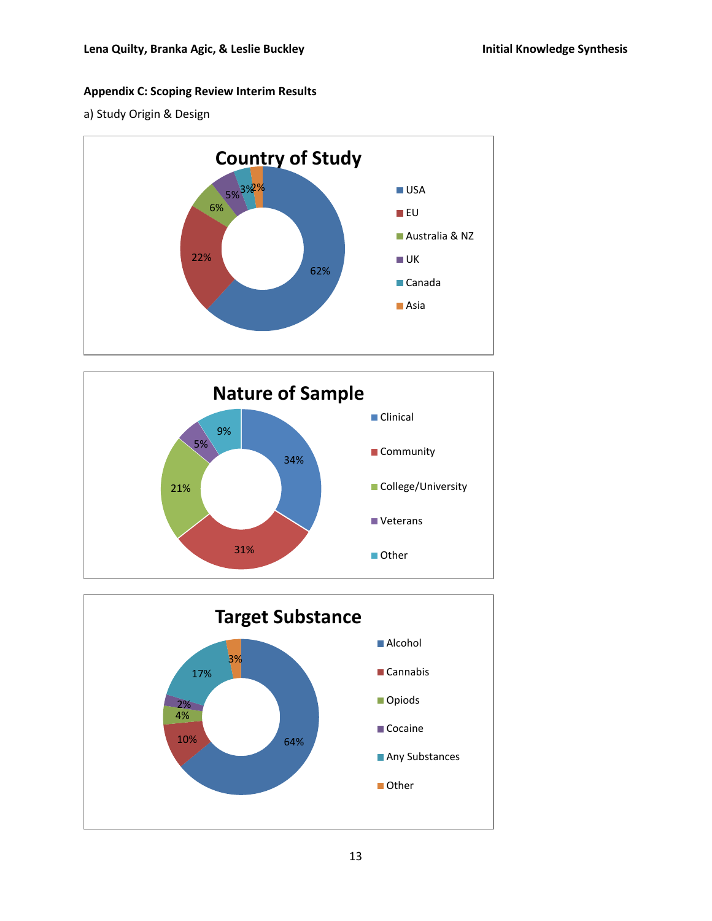## **Appendix C: Scoping Review Interim Results**

a) Study Origin & Design





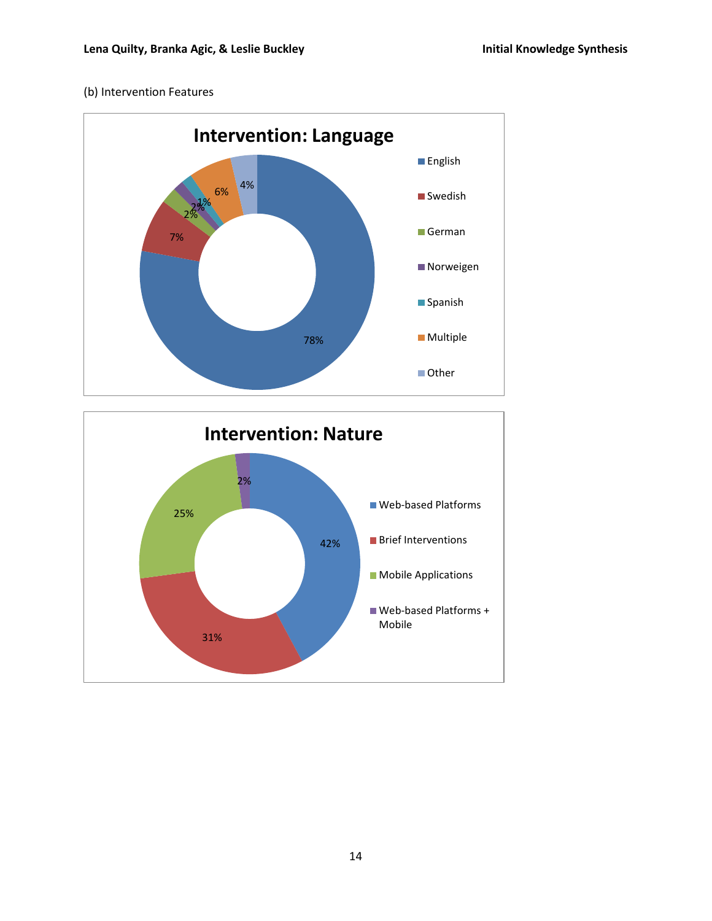## (b) Intervention Features



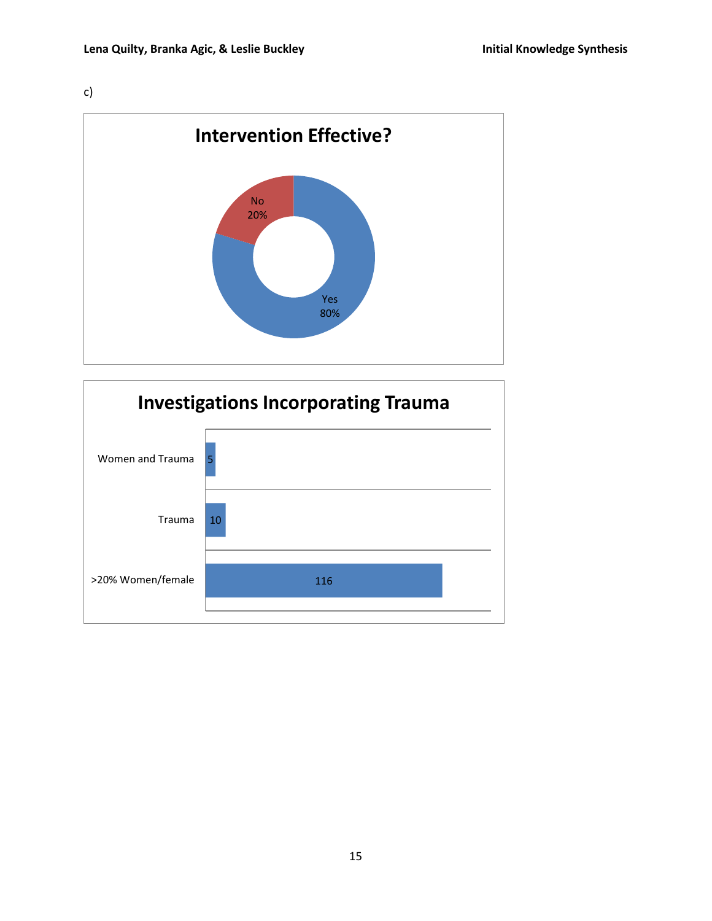c)



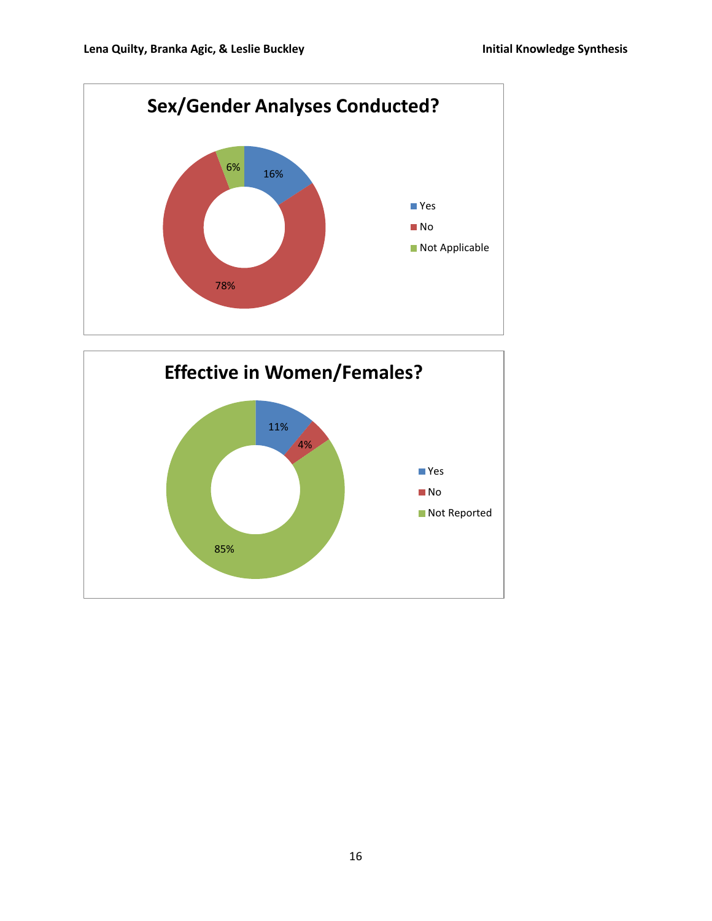

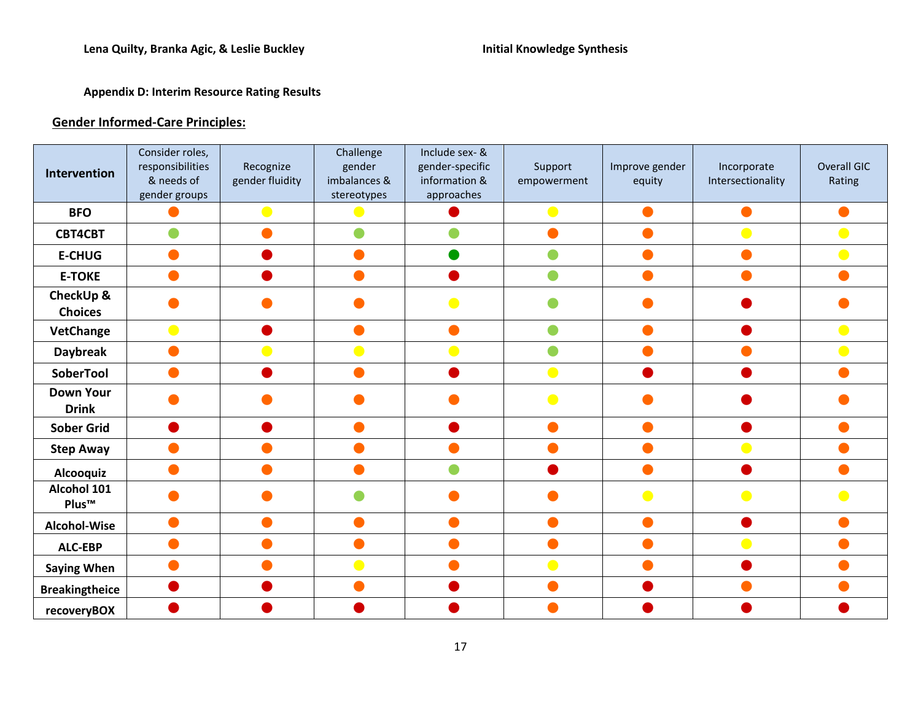# **Appendix D: Interim Resource Rating Results**

# **Gender Informed-Care Principles:**

|                                  | Consider roles,                |                              | Challenge              | Include sex- &                   |                        |                |                                  |                       |
|----------------------------------|--------------------------------|------------------------------|------------------------|----------------------------------|------------------------|----------------|----------------------------------|-----------------------|
| Intervention                     | responsibilities<br>& needs of | Recognize<br>gender fluidity | gender<br>imbalances & | gender-specific<br>information & | Support<br>empowerment | Improve gender | Incorporate<br>Intersectionality | Overall GIC<br>Rating |
|                                  | gender groups                  |                              | stereotypes            | approaches                       |                        | equity         |                                  |                       |
| <b>BFO</b>                       |                                | $\bullet$                    | $\bullet$              |                                  |                        |                |                                  |                       |
|                                  |                                |                              |                        |                                  |                        |                |                                  |                       |
| <b>CBT4CBT</b>                   |                                |                              |                        |                                  |                        |                |                                  |                       |
| <b>E-CHUG</b>                    |                                |                              |                        |                                  |                        |                |                                  |                       |
| <b>E-TOKE</b>                    |                                |                              |                        |                                  |                        |                |                                  |                       |
| CheckUp &<br><b>Choices</b>      |                                |                              |                        |                                  |                        |                |                                  |                       |
| <b>VetChange</b>                 |                                |                              |                        |                                  |                        |                |                                  |                       |
| <b>Daybreak</b>                  |                                |                              |                        |                                  |                        |                |                                  |                       |
| SoberTool                        |                                |                              |                        |                                  | $\bullet$              |                |                                  |                       |
| <b>Down Your</b><br><b>Drink</b> |                                |                              |                        |                                  |                        |                |                                  |                       |
| <b>Sober Grid</b>                |                                |                              |                        |                                  |                        |                |                                  |                       |
| <b>Step Away</b>                 |                                |                              |                        |                                  |                        |                |                                  |                       |
| Alcooquiz                        |                                |                              |                        |                                  |                        |                |                                  |                       |
| Alcohol 101<br>Plus™             |                                |                              |                        |                                  |                        |                |                                  |                       |
| Alcohol-Wise                     |                                |                              |                        |                                  |                        |                |                                  |                       |
| <b>ALC-EBP</b>                   |                                |                              |                        |                                  |                        |                |                                  |                       |
| <b>Saying When</b>               |                                |                              |                        |                                  |                        |                |                                  |                       |
| <b>Breakingtheice</b>            |                                |                              |                        |                                  |                        |                |                                  |                       |
| recoveryBOX                      |                                |                              |                        |                                  |                        |                |                                  |                       |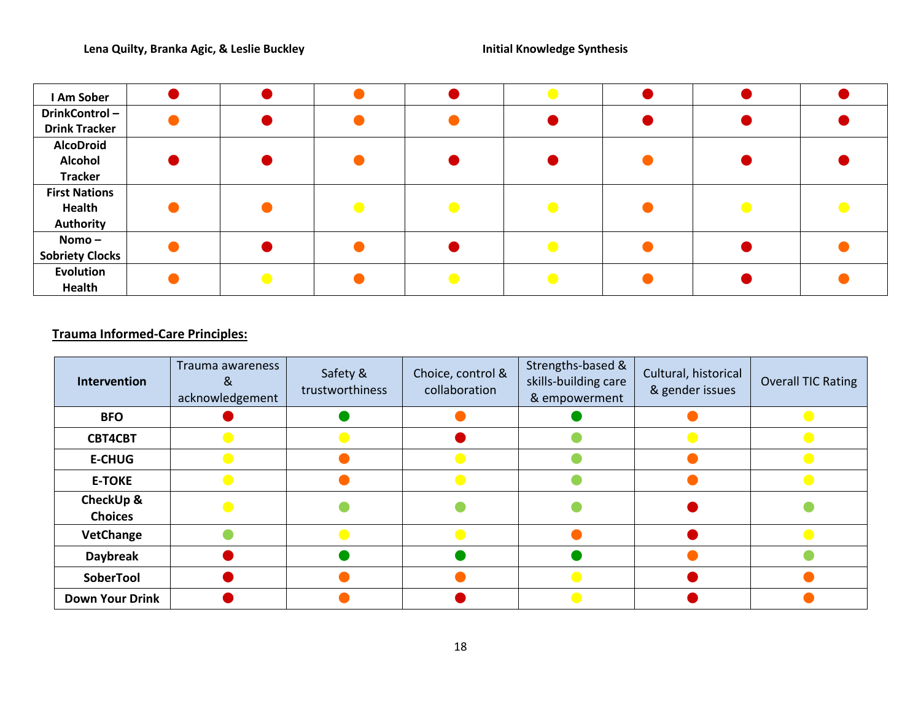| I Am Sober             |  |  |  |  |
|------------------------|--|--|--|--|
| DrinkControl-          |  |  |  |  |
| <b>Drink Tracker</b>   |  |  |  |  |
| <b>AlcoDroid</b>       |  |  |  |  |
| <b>Alcohol</b>         |  |  |  |  |
| <b>Tracker</b>         |  |  |  |  |
| <b>First Nations</b>   |  |  |  |  |
| Health                 |  |  |  |  |
| Authority              |  |  |  |  |
| Nomo –                 |  |  |  |  |
| <b>Sobriety Clocks</b> |  |  |  |  |
| <b>Evolution</b>       |  |  |  |  |
| Health                 |  |  |  |  |

# **Trauma Informed-Care Principles:**

| Intervention                | Trauma awareness<br>X,<br>acknowledgement | Safety &<br>trustworthiness | Choice, control &<br>collaboration | Strengths-based &<br>skills-building care<br>& empowerment | Cultural, historical<br>& gender issues | <b>Overall TIC Rating</b> |
|-----------------------------|-------------------------------------------|-----------------------------|------------------------------------|------------------------------------------------------------|-----------------------------------------|---------------------------|
| <b>BFO</b>                  |                                           |                             |                                    |                                                            |                                         |                           |
| <b>CBT4CBT</b>              |                                           |                             |                                    |                                                            |                                         |                           |
| <b>E-CHUG</b>               |                                           |                             |                                    |                                                            |                                         |                           |
| <b>E-TOKE</b>               |                                           |                             |                                    |                                                            |                                         |                           |
| CheckUp &<br><b>Choices</b> |                                           |                             |                                    |                                                            |                                         |                           |
| VetChange                   |                                           |                             |                                    |                                                            |                                         |                           |
| <b>Daybreak</b>             |                                           |                             |                                    |                                                            |                                         |                           |
| SoberTool                   |                                           |                             |                                    |                                                            |                                         |                           |
| <b>Down Your Drink</b>      |                                           |                             |                                    |                                                            |                                         |                           |